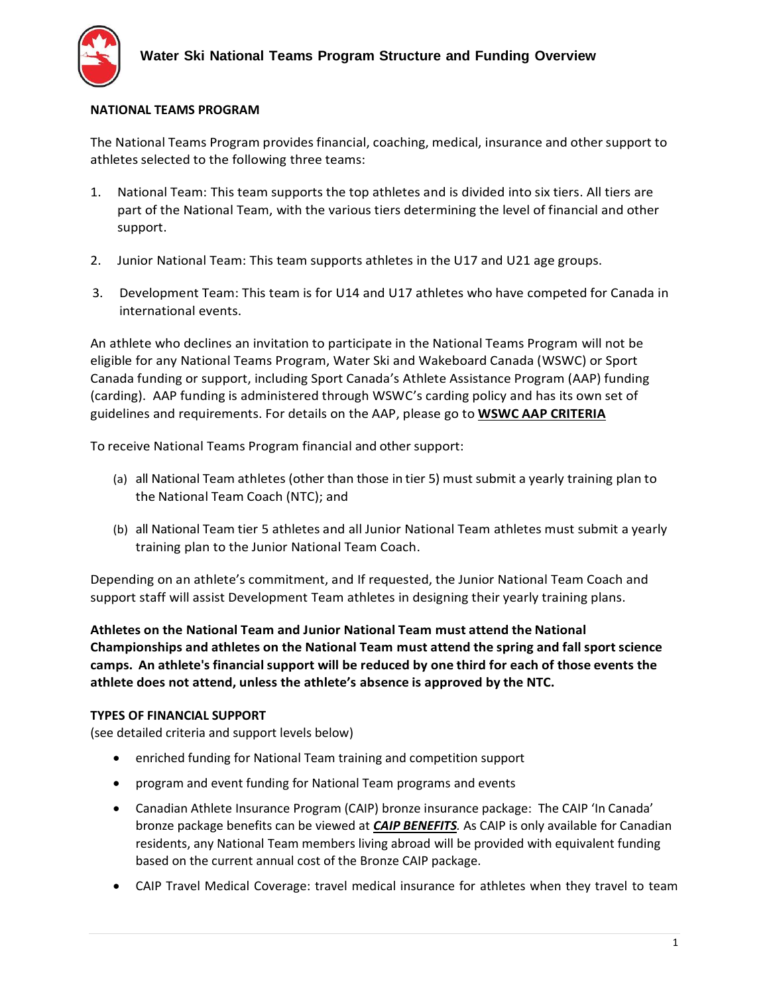

## **NATIONAL TEAMS PROGRAM**

The National Teams Program provides financial, coaching, medical, insurance and other support to athletes selected to the following three teams:

- 1. National Team: This team supports the top athletes and is divided into six tiers. All tiers are part of the National Team, with the various tiers determining the level of financial and other support.
- 2. Junior National Team: This team supports athletes in the U17 and U21 age groups.
- 3. Development Team: This team is for U14 and U17 athletes who have competed for Canada in international events.

An athlete who declines an invitation to participate in the National Teams Program will not be eligible for any National Teams Program, Water Ski and Wakeboard Canada (WSWC) or Sport Canada funding or support, including Sport Canada's Athlete Assistance Program (AAP) funding (carding). AAP funding is administered through WSWC's carding policy and has its own set of guidelines and requirements. For details on the AAP, please go to **[WSWC AAP CRITERIA](https://waterskicanada.ca/wp-content/uploads/2021-AAP-Criteria-3-JKR-clean-FINAL-July-2020.pdf)**

To receive National Teams Program financial and other support:

- (a) all National Team athletes (other than those in tier 5) must submit a yearly training plan to the National Team Coach (NTC); and
- (b) all National Team tier 5 athletes and all Junior National Team athletes must submit a yearly training plan to the Junior National Team Coach.

Depending on an athlete's commitment, and If requested, the Junior National Team Coach and support staff will assist Development Team athletes in designing their yearly training plans.

**Athletes on the National Team and Junior National Team must attend the National Championships and athletes on the National Team must attend the spring and fallsport science camps. An athlete's financialsupport will be reduced by one third for each of those events the athlete does not attend, unless the athlete's absence is approved by the NTC.**

## **TYPES OF FINANCIAL SUPPORT**

(see detailed criteria and support levels below)

- enriched funding for National Team training and competition support
- program and event funding for National Team programs and events
- Canadian Athlete Insurance Program (CAIP) bronze insurance package: The CAIP 'In Canada' bronze package benefits can be viewed at *[CAIP BENEFITS](https://mkirsch.ca/wp-content/uploads/2018/12/CAIP-Summary-In-Canada-12-2018-.pdf).* As CAIP is only available for Canadian residents, any National Team members living abroad will be provided with equivalent funding based on the current annual cost of the Bronze CAIP package.
- CAIP Travel Medical Coverage: travel medical insurance for athletes when they travel to team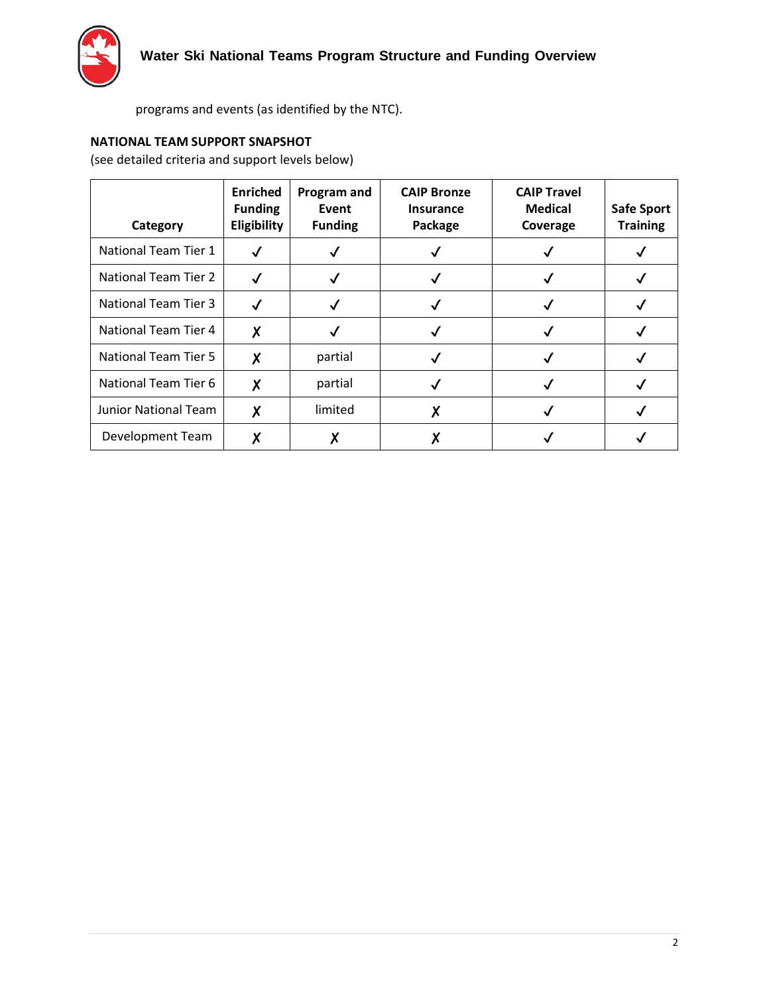

programs and events (as identified by the NTC).

## **NATIONAL TEAM SUPPORT SNAPSHOT**

(see detailed criteria and support levels below)

| Category                    | <b>Enriched</b><br><b>Funding</b><br>Eligibility | Program and<br>Event<br><b>Funding</b> | <b>CAIP Bronze</b><br><b>Insurance</b><br>Package | <b>CAIP Travel</b><br><b>Medical</b><br>Coverage | <b>Safe Sport</b><br><b>Training</b> |
|-----------------------------|--------------------------------------------------|----------------------------------------|---------------------------------------------------|--------------------------------------------------|--------------------------------------|
| National Team Tier 1        |                                                  |                                        |                                                   |                                                  |                                      |
| <b>National Team Tier 2</b> |                                                  |                                        |                                                   |                                                  |                                      |
| <b>National Team Tier 3</b> |                                                  |                                        |                                                   |                                                  |                                      |
| National Team Tier 4        | X                                                |                                        |                                                   |                                                  |                                      |
| National Team Tier 5        | χ                                                | partial                                |                                                   |                                                  |                                      |
| National Team Tier 6        | X                                                | partial                                |                                                   |                                                  |                                      |
| <b>Junior National Team</b> | X                                                | limited                                |                                                   |                                                  |                                      |
| Development Team            | v                                                |                                        |                                                   |                                                  |                                      |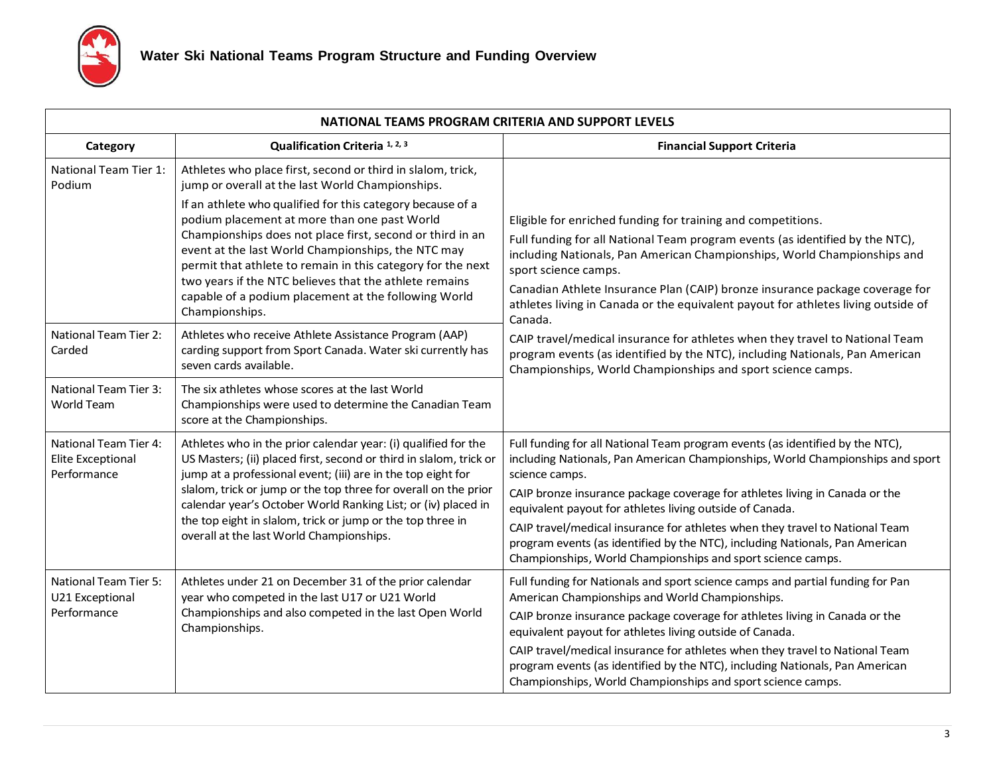

| NATIONAL TEAMS PROGRAM CRITERIA AND SUPPORT LEVELS                      |                                                                                                                                                                                                                                                                                                                                                                                                                                                                                                                                                     |                                                                                                                                                                                                                                                                                                                                                                                                                                                                                                                                                             |  |  |  |
|-------------------------------------------------------------------------|-----------------------------------------------------------------------------------------------------------------------------------------------------------------------------------------------------------------------------------------------------------------------------------------------------------------------------------------------------------------------------------------------------------------------------------------------------------------------------------------------------------------------------------------------------|-------------------------------------------------------------------------------------------------------------------------------------------------------------------------------------------------------------------------------------------------------------------------------------------------------------------------------------------------------------------------------------------------------------------------------------------------------------------------------------------------------------------------------------------------------------|--|--|--|
| Category                                                                | Qualification Criteria <sup>1, 2, 3</sup>                                                                                                                                                                                                                                                                                                                                                                                                                                                                                                           | <b>Financial Support Criteria</b>                                                                                                                                                                                                                                                                                                                                                                                                                                                                                                                           |  |  |  |
| National Team Tier 1:<br>Podium                                         | Athletes who place first, second or third in slalom, trick,<br>jump or overall at the last World Championships.<br>If an athlete who qualified for this category because of a<br>podium placement at more than one past World<br>Championships does not place first, second or third in an<br>event at the last World Championships, the NTC may<br>permit that athlete to remain in this category for the next<br>two years if the NTC believes that the athlete remains<br>capable of a podium placement at the following World<br>Championships. | Eligible for enriched funding for training and competitions.<br>Full funding for all National Team program events (as identified by the NTC),<br>including Nationals, Pan American Championships, World Championships and<br>sport science camps.<br>Canadian Athlete Insurance Plan (CAIP) bronze insurance package coverage for<br>athletes living in Canada or the equivalent payout for athletes living outside of<br>Canada.                                                                                                                           |  |  |  |
| National Team Tier 2:<br>Carded                                         | Athletes who receive Athlete Assistance Program (AAP)<br>carding support from Sport Canada. Water ski currently has<br>seven cards available.                                                                                                                                                                                                                                                                                                                                                                                                       | CAIP travel/medical insurance for athletes when they travel to National Team<br>program events (as identified by the NTC), including Nationals, Pan American<br>Championships, World Championships and sport science camps.                                                                                                                                                                                                                                                                                                                                 |  |  |  |
| <b>National Team Tier 3:</b><br>World Team                              | The six athletes whose scores at the last World<br>Championships were used to determine the Canadian Team<br>score at the Championships.                                                                                                                                                                                                                                                                                                                                                                                                            |                                                                                                                                                                                                                                                                                                                                                                                                                                                                                                                                                             |  |  |  |
| <b>National Team Tier 4:</b><br><b>Elite Exceptional</b><br>Performance | Athletes who in the prior calendar year: (i) qualified for the<br>US Masters; (ii) placed first, second or third in slalom, trick or<br>jump at a professional event; (iii) are in the top eight for<br>slalom, trick or jump or the top three for overall on the prior<br>calendar year's October World Ranking List; or (iv) placed in<br>the top eight in slalom, trick or jump or the top three in<br>overall at the last World Championships.                                                                                                  | Full funding for all National Team program events (as identified by the NTC),<br>including Nationals, Pan American Championships, World Championships and sport<br>science camps.<br>CAIP bronze insurance package coverage for athletes living in Canada or the<br>equivalent payout for athletes living outside of Canada.<br>CAIP travel/medical insurance for athletes when they travel to National Team<br>program events (as identified by the NTC), including Nationals, Pan American<br>Championships, World Championships and sport science camps. |  |  |  |
| <b>National Team Tier 5:</b><br>U21 Exceptional<br>Performance          | Athletes under 21 on December 31 of the prior calendar<br>year who competed in the last U17 or U21 World<br>Championships and also competed in the last Open World<br>Championships.                                                                                                                                                                                                                                                                                                                                                                | Full funding for Nationals and sport science camps and partial funding for Pan<br>American Championships and World Championships.<br>CAIP bronze insurance package coverage for athletes living in Canada or the<br>equivalent payout for athletes living outside of Canada.<br>CAIP travel/medical insurance for athletes when they travel to National Team<br>program events (as identified by the NTC), including Nationals, Pan American<br>Championships, World Championships and sport science camps.                                                 |  |  |  |